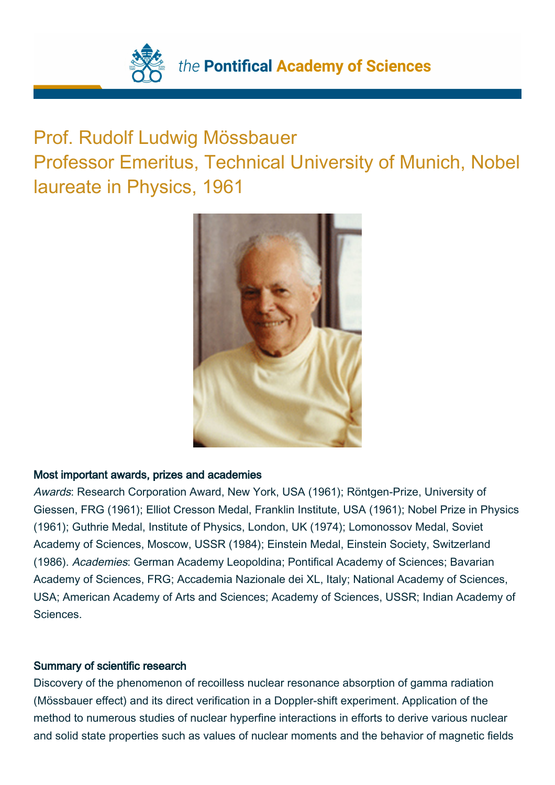

## Prof. Rudolf Ludwig Mössbauer

Professor Emeritus, Technical University of Munich, Nobel laureate in Physics, 1961



## Most important awards, prizes and academies

Awards: Research Corporation Award, New York, USA (1961); Röntgen-Prize, University of Giessen, FRG (1961); Elliot Cresson Medal, Franklin Institute, USA (1961); Nobel Prize in Physics (1961); Guthrie Medal, Institute of Physics, London, UK (1974); Lomonossov Medal, Soviet Academy of Sciences, Moscow, USSR (1984); Einstein Medal, Einstein Society, Switzerland (1986). Academies: German Academy Leopoldina; Pontifical Academy of Sciences; Bavarian Academy of Sciences, FRG; Accademia Nazionale dei XL, Italy; National Academy of Sciences, USA; American Academy of Arts and Sciences; Academy of Sciences, USSR; Indian Academy of Sciences.

## Summary of scientific research

Discovery of the phenomenon of recoilless nuclear resonance absorption of gamma radiation (Mössbauer effect) and its direct verification in a Doppler-shift experiment. Application of the method to numerous studies of nuclear hyperfine interactions in efforts to derive various nuclear and solid state properties such as values of nuclear moments and the behavior of magnetic fields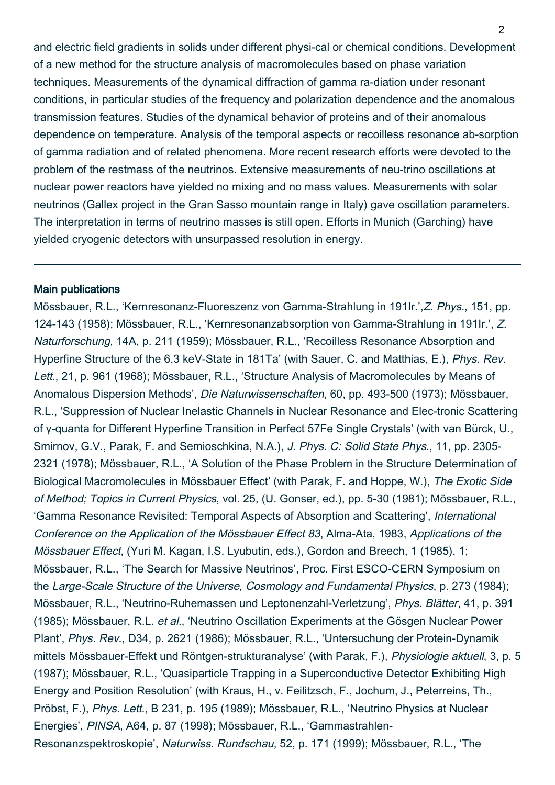and electric field gradients in solids under different physi-cal or chemical conditions. Development of a new method for the structure analysis of macromolecules based on phase variation techniques. Measurements of the dynamical diffraction of gamma ra-diation under resonant conditions, in particular studies of the frequency and polarization dependence and the anomalous transmission features. Studies of the dynamical behavior of proteins and of their anomalous dependence on temperature. Analysis of the temporal aspects or recoilless resonance ab-sorption of gamma radiation and of related phenomena. More recent research efforts were devoted to the problem of the restmass of the neutrinos. Extensive measurements of neu-trino oscillations at nuclear power reactors have yielded no mixing and no mass values. Measurements with solar neutrinos (Gallex project in the Gran Sasso mountain range in Italy) gave oscillation parameters. The interpretation in terms of neutrino masses is still open. Efforts in Munich (Garching) have yielded cryogenic detectors with unsurpassed resolution in energy.

## Main publications

Mössbauer, R.L., 'Kernresonanz-Fluoreszenz von Gamma-Strahlung in 191Ir.',Z. Phys., 151, pp. 124-143 (1958); Mössbauer, R.L., 'Kernresonanzabsorption von Gamma-Strahlung in 191Ir.', Z. Naturforschung, 14A, p. 211 (1959); Mössbauer, R.L., 'Recoilless Resonance Absorption and Hyperfine Structure of the 6.3 keV-State in 181Ta' (with Sauer, C. and Matthias, E.), Phys. Rev. Lett., 21, p. 961 (1968); Mössbauer, R.L., 'Structure Analysis of Macromolecules by Means of Anomalous Dispersion Methods', Die Naturwissenschaften, 60, pp. 493-500 (1973); Mössbauer, R.L., 'Suppression of Nuclear Inelastic Channels in Nuclear Resonance and Elec-tronic Scattering of γ-quanta for Different Hyperfine Transition in Perfect 57Fe Single Crystals' (with van Bürck, U., Smirnov, G.V., Parak, F. and Semioschkina, N.A.), J. Phys. C: Solid State Phys., 11, pp. 2305-2321 (1978); Mössbauer, R.L., 'A Solution of the Phase Problem in the Structure Determination of Biological Macromolecules in Mössbauer Effect' (with Parak, F. and Hoppe, W.), The Exotic Side of Method; Topics in Current Physics, vol. 25, (U. Gonser, ed.), pp. 5-30 (1981); Mössbauer, R.L., 'Gamma Resonance Revisited: Temporal Aspects of Absorption and Scattering', International Conference on the Application of the Mössbauer Effect 83, Alma-Ata, 1983, Applications of the Mössbauer Effect, (Yuri M. Kagan, I.S. Lyubutin, eds.), Gordon and Breech, 1 (1985), 1; Mössbauer, R.L., 'The Search for Massive Neutrinos', Proc. First ESCO-CERN Symposium on the Large-Scale Structure of the Universe, Cosmology and Fundamental Physics, p. 273 (1984); Mössbauer, R.L., 'Neutrino-Ruhemassen und Leptonenzahl-Verletzung', Phys. Blätter, 41, p. 391 (1985); Mössbauer, R.L. et al., 'Neutrino Oscillation Experiments at the Gösgen Nuclear Power Plant', Phys. Rev., D34, p. 2621 (1986); Mössbauer, R.L., 'Untersuchung der Protein-Dynamik mittels Mössbauer-Effekt und Röntgen-strukturanalyse' (with Parak, F.), Physiologie aktuell, 3, p. 5 (1987); Mössbauer, R.L., 'Quasiparticle Trapping in a Superconductive Detector Exhibiting High Energy and Position Resolution' (with Kraus, H., v. Feilitzsch, F., Jochum, J., Peterreins, Th., Pröbst, F.), Phys. Lett., B 231, p. 195 (1989); Mössbauer, R.L., 'Neutrino Physics at Nuclear Energies', PINSA, A64, p. 87 (1998); Mössbauer, R.L., 'Gammastrahlen-Resonanzspektroskopie', Naturwiss. Rundschau, 52, p. 171 (1999); Mössbauer, R.L., 'The